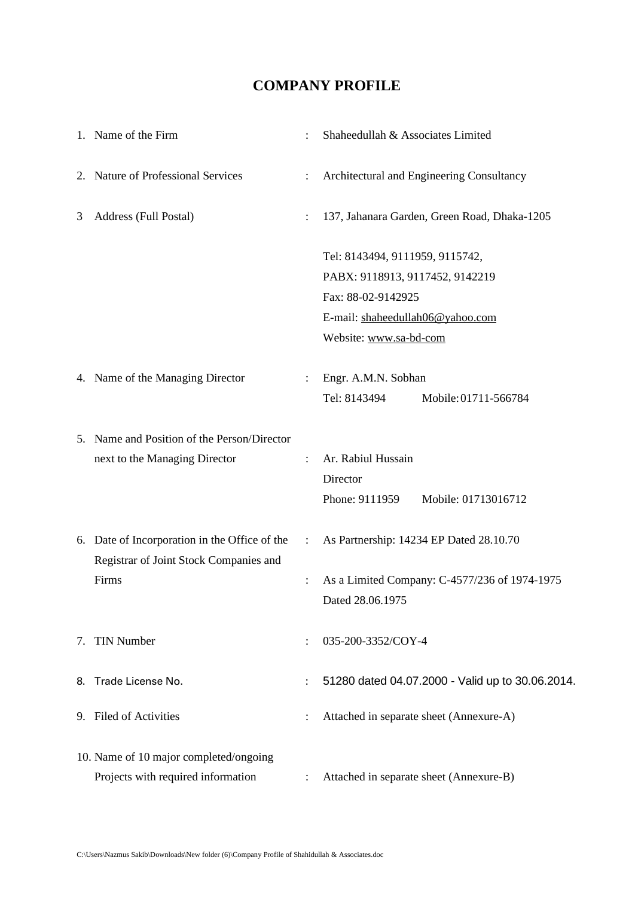#### **COMPANY PROFILE**

|   | 1. Name of the Firm                                                          |                       | Shaheedullah & Associates Limited                                                                                                                      |
|---|------------------------------------------------------------------------------|-----------------------|--------------------------------------------------------------------------------------------------------------------------------------------------------|
|   | 2. Nature of Professional Services                                           |                       | Architectural and Engineering Consultancy                                                                                                              |
| 3 | Address (Full Postal)                                                        | $\ddot{\cdot}$        | 137, Jahanara Garden, Green Road, Dhaka-1205                                                                                                           |
|   |                                                                              |                       | Tel: 8143494, 9111959, 9115742,<br>PABX: 9118913, 9117452, 9142219<br>Fax: 88-02-9142925<br>E-mail: shaheedullah06@yahoo.com<br>Website: www.sa-bd-com |
|   | 4. Name of the Managing Director                                             | $\ddot{\phantom{a}}$  | Engr. A.M.N. Sobhan<br>Tel: 8143494<br>Mobile: 01711-566784                                                                                            |
|   | 5. Name and Position of the Person/Director<br>next to the Managing Director |                       | Ar. Rabiul Hussain<br>Director<br>Phone: 9111959<br>Mobile: 01713016712                                                                                |
|   | 6. Date of Incorporation in the Office of the                                | $\mathbb{C}^{\times}$ | As Partnership: 14234 EP Dated 28.10.70                                                                                                                |
|   | Registrar of Joint Stock Companies and<br>Firms                              |                       | As a Limited Company: C-4577/236 of 1974-1975<br>Dated 28.06.1975                                                                                      |
|   | 7. TIN Number                                                                |                       | 035-200-3352/COY-4                                                                                                                                     |
|   | 8. Trade License No.                                                         |                       | 51280 dated 04.07.2000 - Valid up to 30.06.2014.                                                                                                       |
|   | 9. Filed of Activities                                                       |                       | Attached in separate sheet (Annexure-A)                                                                                                                |
|   | 10. Name of 10 major completed/ongoing<br>Projects with required information |                       | Attached in separate sheet (Annexure-B)                                                                                                                |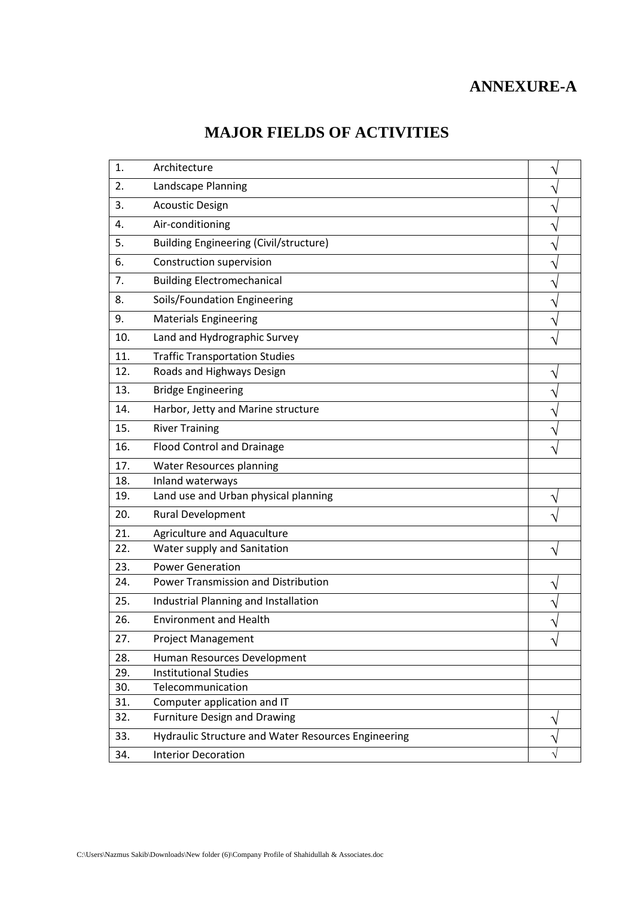## **ANNEXURE-A**

# **MAJOR FIELDS OF ACTIVITIES**

| 1.  | Architecture                                        |   |
|-----|-----------------------------------------------------|---|
| 2.  | Landscape Planning                                  |   |
| 3.  | <b>Acoustic Design</b>                              |   |
| 4.  | Air-conditioning                                    |   |
| 5.  | <b>Building Engineering (Civil/structure)</b>       |   |
| 6.  | Construction supervision                            |   |
| 7.  | <b>Building Electromechanical</b>                   |   |
| 8.  | Soils/Foundation Engineering                        |   |
| 9.  | <b>Materials Engineering</b>                        |   |
| 10. | Land and Hydrographic Survey                        |   |
| 11. | <b>Traffic Transportation Studies</b>               |   |
| 12. | Roads and Highways Design                           |   |
| 13. | <b>Bridge Engineering</b>                           |   |
| 14. | Harbor, Jetty and Marine structure                  |   |
| 15. | <b>River Training</b>                               |   |
| 16. | <b>Flood Control and Drainage</b>                   |   |
| 17. | <b>Water Resources planning</b>                     |   |
| 18. | Inland waterways                                    |   |
| 19. | Land use and Urban physical planning                |   |
| 20. | Rural Development                                   |   |
| 21. | Agriculture and Aquaculture                         |   |
| 22. | Water supply and Sanitation                         |   |
| 23. | <b>Power Generation</b>                             |   |
| 24. | Power Transmission and Distribution                 |   |
| 25. | Industrial Planning and Installation                |   |
| 26. | <b>Environment and Health</b>                       |   |
| 27. | <b>Project Management</b>                           | V |
| 28. | Human Resources Development                         |   |
| 29. | <b>Institutional Studies</b>                        |   |
| 30. | Telecommunication                                   |   |
| 31. | Computer application and IT                         |   |
| 32. | <b>Furniture Design and Drawing</b>                 |   |
| 33. | Hydraulic Structure and Water Resources Engineering |   |
| 34. | <b>Interior Decoration</b>                          |   |
|     |                                                     |   |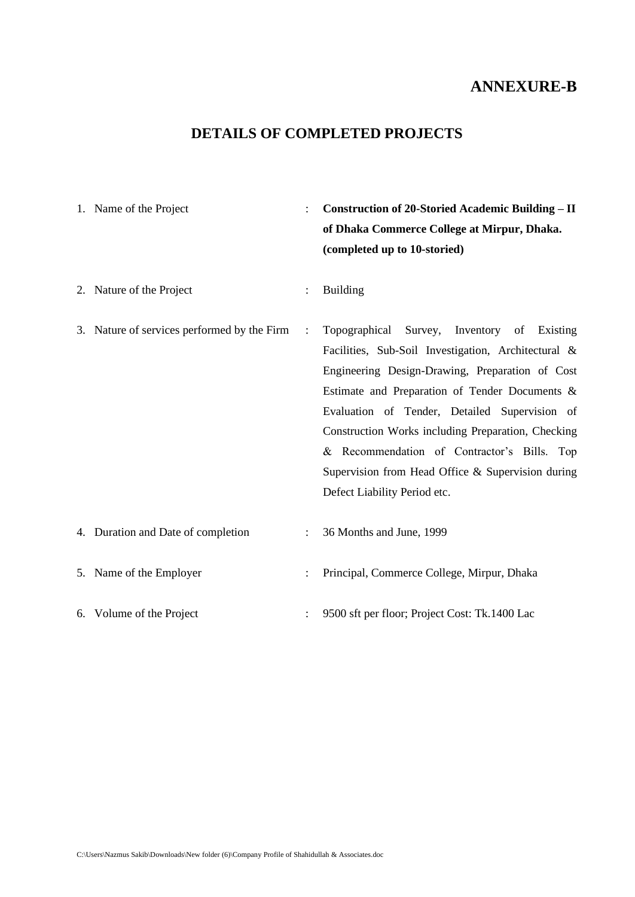| 1. Name of the Project                      |                | <b>Construction of 20-Storied Academic Building - II</b><br>of Dhaka Commerce College at Mirpur, Dhaka.<br>(completed up to 10-storied)                                                                                                                                                                                                                                                                                                                        |
|---------------------------------------------|----------------|----------------------------------------------------------------------------------------------------------------------------------------------------------------------------------------------------------------------------------------------------------------------------------------------------------------------------------------------------------------------------------------------------------------------------------------------------------------|
| 2. Nature of the Project                    | $\ddot{\cdot}$ | <b>Building</b>                                                                                                                                                                                                                                                                                                                                                                                                                                                |
| 3. Nature of services performed by the Firm | $\ddot{\cdot}$ | Inventory<br>Topographical<br>Survey,<br>Existing<br>of<br>Facilities, Sub-Soil Investigation, Architectural &<br>Engineering Design-Drawing, Preparation of Cost<br>Estimate and Preparation of Tender Documents &<br>Evaluation of Tender, Detailed Supervision of<br>Construction Works including Preparation, Checking<br>& Recommendation of Contractor's Bills. Top<br>Supervision from Head Office & Supervision during<br>Defect Liability Period etc. |
| 4. Duration and Date of completion          | $\ddot{\cdot}$ | 36 Months and June, 1999                                                                                                                                                                                                                                                                                                                                                                                                                                       |
| 5. Name of the Employer                     |                | Principal, Commerce College, Mirpur, Dhaka                                                                                                                                                                                                                                                                                                                                                                                                                     |
| 6. Volume of the Project                    |                | 9500 sft per floor; Project Cost: Tk.1400 Lac                                                                                                                                                                                                                                                                                                                                                                                                                  |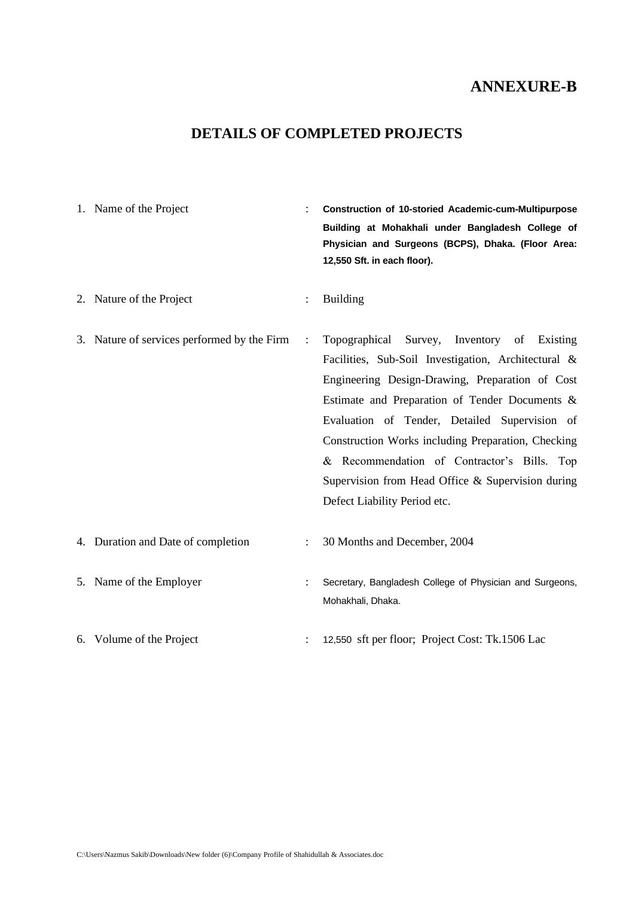#### **DETAILS OF COMPLETED PROJECTS**

| 1. Name of the Project                      |                | Construction of 10-storied Academic-cum-Multipurpose<br>Building at Mohakhali under Bangladesh College of<br>Physician and Surgeons (BCPS), Dhaka. (Floor Area:<br>12,550 Sft. in each floor).                                                                                                                                                                                                                                                           |
|---------------------------------------------|----------------|----------------------------------------------------------------------------------------------------------------------------------------------------------------------------------------------------------------------------------------------------------------------------------------------------------------------------------------------------------------------------------------------------------------------------------------------------------|
| 2. Nature of the Project                    | $\ddot{\cdot}$ | <b>Building</b>                                                                                                                                                                                                                                                                                                                                                                                                                                          |
| 3. Nature of services performed by the Firm | $\ddot{\cdot}$ | Topographical<br>Survey,<br>Inventory of Existing<br>Facilities, Sub-Soil Investigation, Architectural &<br>Engineering Design-Drawing, Preparation of Cost<br>Estimate and Preparation of Tender Documents &<br>Evaluation of Tender, Detailed Supervision of<br>Construction Works including Preparation, Checking<br>& Recommendation of Contractor's Bills. Top<br>Supervision from Head Office & Supervision during<br>Defect Liability Period etc. |
| 4. Duration and Date of completion          |                | 30 Months and December, 2004                                                                                                                                                                                                                                                                                                                                                                                                                             |
| 5. Name of the Employer                     |                | Secretary, Bangladesh College of Physician and Surgeons,<br>Mohakhali, Dhaka.                                                                                                                                                                                                                                                                                                                                                                            |

6. Volume of the Project : 12,550 sft per floor; Project Cost: Tk.1506 Lac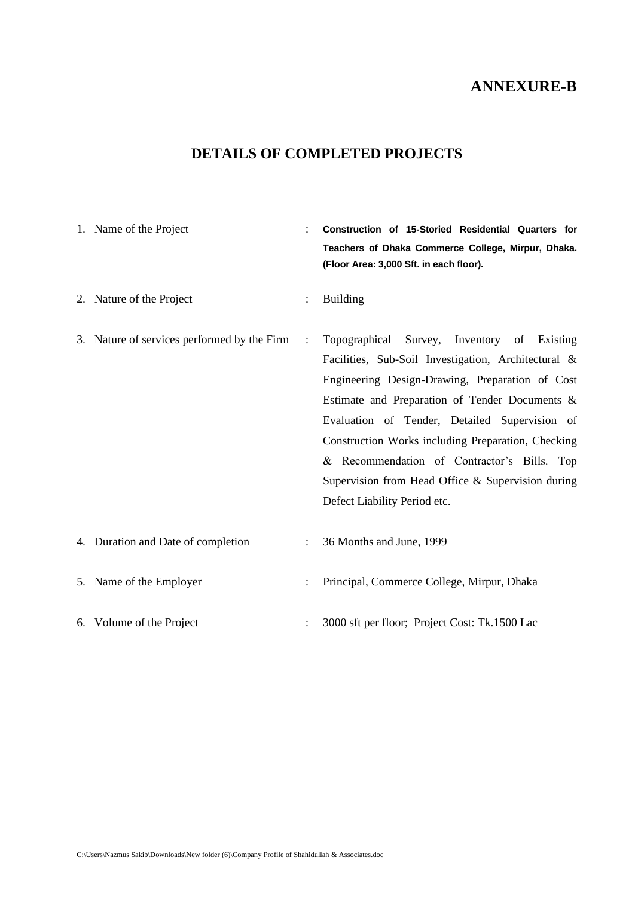| 1. Name of the Project                      | $\ddot{\cdot}$ | Construction of 15-Storied Residential Quarters for<br>Teachers of Dhaka Commerce College, Mirpur, Dhaka.<br>(Floor Area: 3,000 Sft. in each floor).                                                                                                                                                                                                                                                                                               |
|---------------------------------------------|----------------|----------------------------------------------------------------------------------------------------------------------------------------------------------------------------------------------------------------------------------------------------------------------------------------------------------------------------------------------------------------------------------------------------------------------------------------------------|
| 2. Nature of the Project                    | $\vdots$       | <b>Building</b>                                                                                                                                                                                                                                                                                                                                                                                                                                    |
| 3. Nature of services performed by the Firm | $\ddot{\cdot}$ | Topographical Survey, Inventory of Existing<br>Facilities, Sub-Soil Investigation, Architectural &<br>Engineering Design-Drawing, Preparation of Cost<br>Estimate and Preparation of Tender Documents &<br>Evaluation of Tender, Detailed Supervision of<br>Construction Works including Preparation, Checking<br>& Recommendation of Contractor's Bills. Top<br>Supervision from Head Office & Supervision during<br>Defect Liability Period etc. |
| 4. Duration and Date of completion          |                | 36 Months and June, 1999                                                                                                                                                                                                                                                                                                                                                                                                                           |
| 5. Name of the Employer                     | $\ddot{\cdot}$ | Principal, Commerce College, Mirpur, Dhaka                                                                                                                                                                                                                                                                                                                                                                                                         |
| 6. Volume of the Project                    |                | 3000 sft per floor; Project Cost: Tk.1500 Lac                                                                                                                                                                                                                                                                                                                                                                                                      |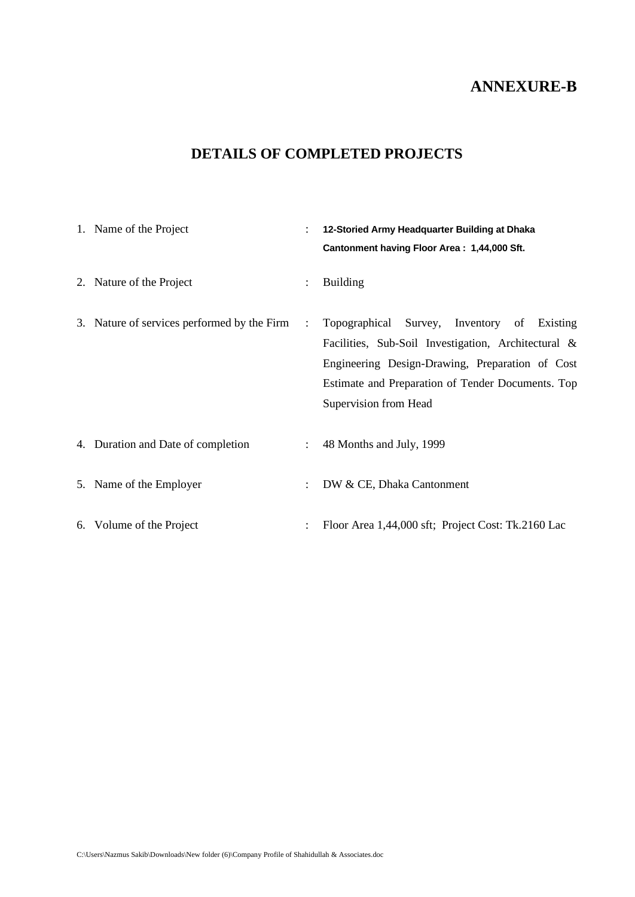| 1. Name of the Project                      | $\ddot{\cdot}$ | 12-Storied Army Headquarter Building at Dhaka<br>Cantonment having Floor Area: 1,44,000 Sft.                                                                                                                                        |
|---------------------------------------------|----------------|-------------------------------------------------------------------------------------------------------------------------------------------------------------------------------------------------------------------------------------|
| 2. Nature of the Project                    | $\ddot{\cdot}$ | <b>Building</b>                                                                                                                                                                                                                     |
| 3. Nature of services performed by the Firm | $\ddot{\cdot}$ | Topographical Survey, Inventory of Existing<br>Facilities, Sub-Soil Investigation, Architectural &<br>Engineering Design-Drawing, Preparation of Cost<br>Estimate and Preparation of Tender Documents. Top<br>Supervision from Head |
| 4. Duration and Date of completion          |                | 48 Months and July, 1999                                                                                                                                                                                                            |
| 5. Name of the Employer                     | $\ddot{\cdot}$ | DW & CE, Dhaka Cantonment                                                                                                                                                                                                           |
| 6. Volume of the Project                    |                | Floor Area 1,44,000 sft; Project Cost: Tk.2160 Lac                                                                                                                                                                                  |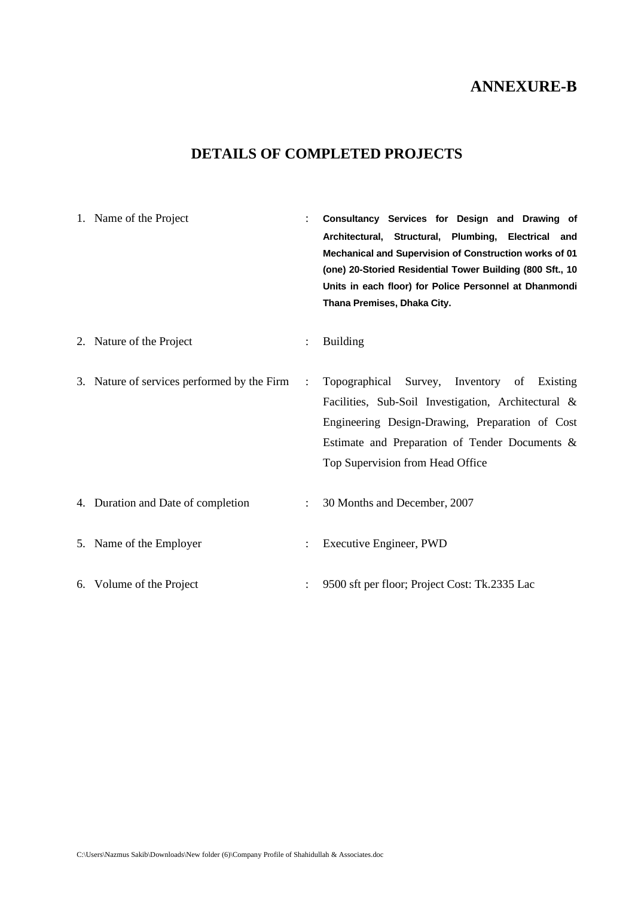| 1. Name of the Project                      |                      | Consultancy Services for Design and Drawing of<br>Architectural, Structural, Plumbing, Electrical and<br>Mechanical and Supervision of Construction works of 01<br>(one) 20-Storied Residential Tower Building (800 Sft., 10<br>Units in each floor) for Police Personnel at Dhanmondi<br>Thana Premises, Dhaka City. |
|---------------------------------------------|----------------------|-----------------------------------------------------------------------------------------------------------------------------------------------------------------------------------------------------------------------------------------------------------------------------------------------------------------------|
| 2. Nature of the Project                    | $\ddot{\cdot}$       | <b>Building</b>                                                                                                                                                                                                                                                                                                       |
| 3. Nature of services performed by the Firm | $\ddot{\cdot}$       | Topographical Survey, Inventory of Existing<br>Facilities, Sub-Soil Investigation, Architectural &<br>Engineering Design-Drawing, Preparation of Cost<br>Estimate and Preparation of Tender Documents &<br>Top Supervision from Head Office                                                                           |
| 4. Duration and Date of completion          | $\ddot{\phantom{a}}$ | 30 Months and December, 2007                                                                                                                                                                                                                                                                                          |
| 5. Name of the Employer                     | $\ddot{\cdot}$       | Executive Engineer, PWD                                                                                                                                                                                                                                                                                               |
| 6. Volume of the Project                    |                      | 9500 sft per floor; Project Cost: Tk.2335 Lac                                                                                                                                                                                                                                                                         |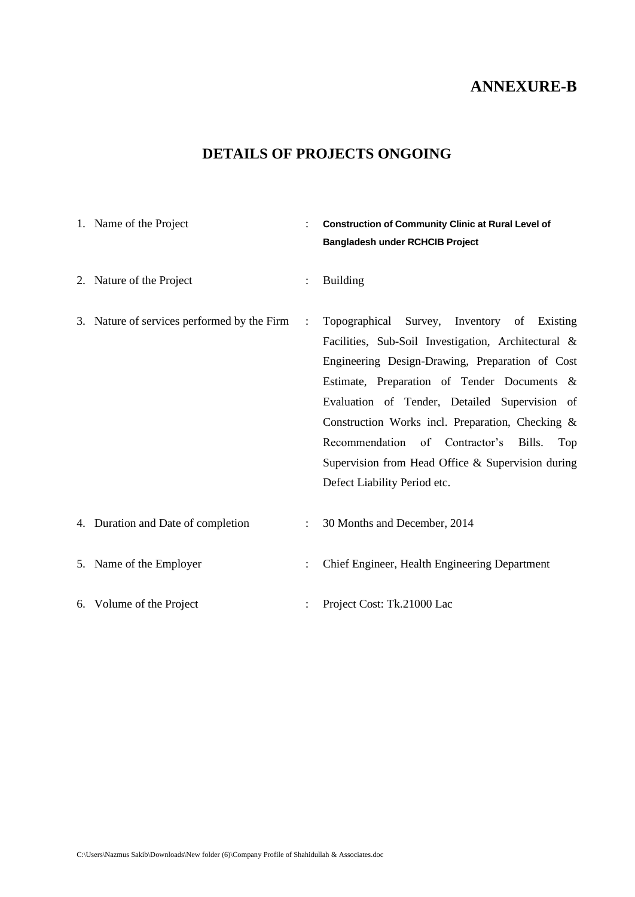| 1. Name of the Project                      | $\ddot{\cdot}$ | <b>Construction of Community Clinic at Rural Level of</b><br><b>Bangladesh under RCHCIB Project</b>                                                                                                                                                                                                                                                                                                                                               |
|---------------------------------------------|----------------|---------------------------------------------------------------------------------------------------------------------------------------------------------------------------------------------------------------------------------------------------------------------------------------------------------------------------------------------------------------------------------------------------------------------------------------------------|
| 2. Nature of the Project                    | $\ddot{\cdot}$ | <b>Building</b>                                                                                                                                                                                                                                                                                                                                                                                                                                   |
| 3. Nature of services performed by the Firm | $\ddot{\cdot}$ | Topographical Survey, Inventory of Existing<br>Facilities, Sub-Soil Investigation, Architectural &<br>Engineering Design-Drawing, Preparation of Cost<br>Estimate, Preparation of Tender Documents &<br>Evaluation of Tender, Detailed Supervision of<br>Construction Works incl. Preparation, Checking &<br>Recommendation of Contractor's<br>Bills.<br>Top<br>Supervision from Head Office & Supervision during<br>Defect Liability Period etc. |
| 4. Duration and Date of completion          |                | 30 Months and December, 2014                                                                                                                                                                                                                                                                                                                                                                                                                      |
| 5. Name of the Employer                     | $\ddot{\cdot}$ | Chief Engineer, Health Engineering Department                                                                                                                                                                                                                                                                                                                                                                                                     |
| 6. Volume of the Project                    |                | Project Cost: Tk.21000 Lac                                                                                                                                                                                                                                                                                                                                                                                                                        |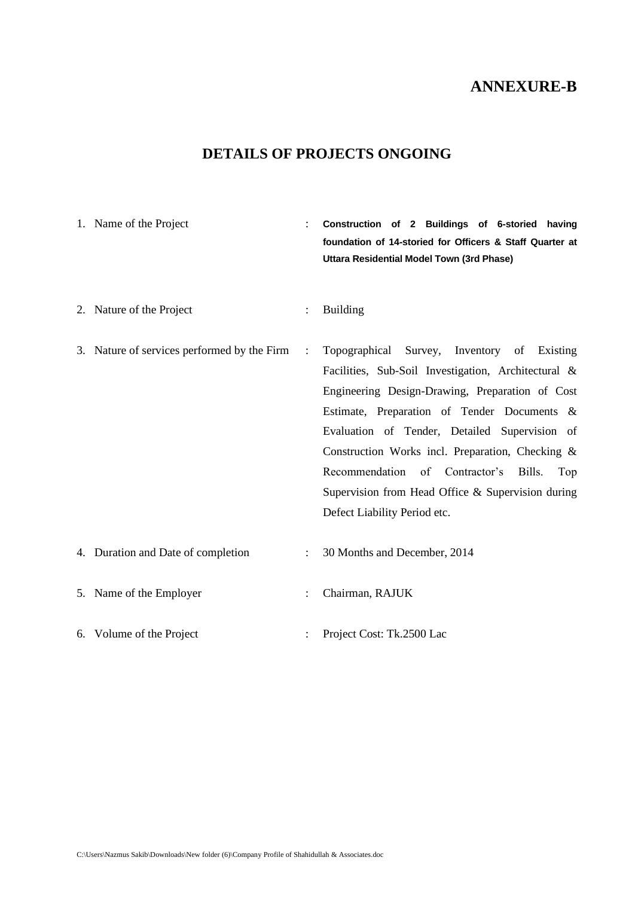# **DETAILS OF PROJECTS ONGOING**

| 1. Name of the Project                      | $\ddot{\cdot}$       | Construction of 2 Buildings of 6-storied<br>having<br>foundation of 14-storied for Officers & Staff Quarter at<br>Uttara Residential Model Town (3rd Phase)                                                                                                                                                                                                                                                                                             |
|---------------------------------------------|----------------------|---------------------------------------------------------------------------------------------------------------------------------------------------------------------------------------------------------------------------------------------------------------------------------------------------------------------------------------------------------------------------------------------------------------------------------------------------------|
| 2. Nature of the Project                    |                      | <b>Building</b>                                                                                                                                                                                                                                                                                                                                                                                                                                         |
| 3. Nature of services performed by the Firm | $\ddot{\phantom{a}}$ | Topographical Survey, Inventory of<br>Existing<br>Facilities, Sub-Soil Investigation, Architectural &<br>Engineering Design-Drawing, Preparation of Cost<br>Estimate, Preparation of Tender Documents &<br>Evaluation of Tender, Detailed Supervision of<br>Construction Works incl. Preparation, Checking &<br>Recommendation of Contractor's<br>Bills.<br>Top<br>Supervision from Head Office $\&$ Supervision during<br>Defect Liability Period etc. |
| 4. Duration and Date of completion          |                      | 30 Months and December, 2014                                                                                                                                                                                                                                                                                                                                                                                                                            |
| 5. Name of the Employer                     |                      | Chairman, RAJUK                                                                                                                                                                                                                                                                                                                                                                                                                                         |

6. Volume of the Project : Project Cost: Tk.2500 Lac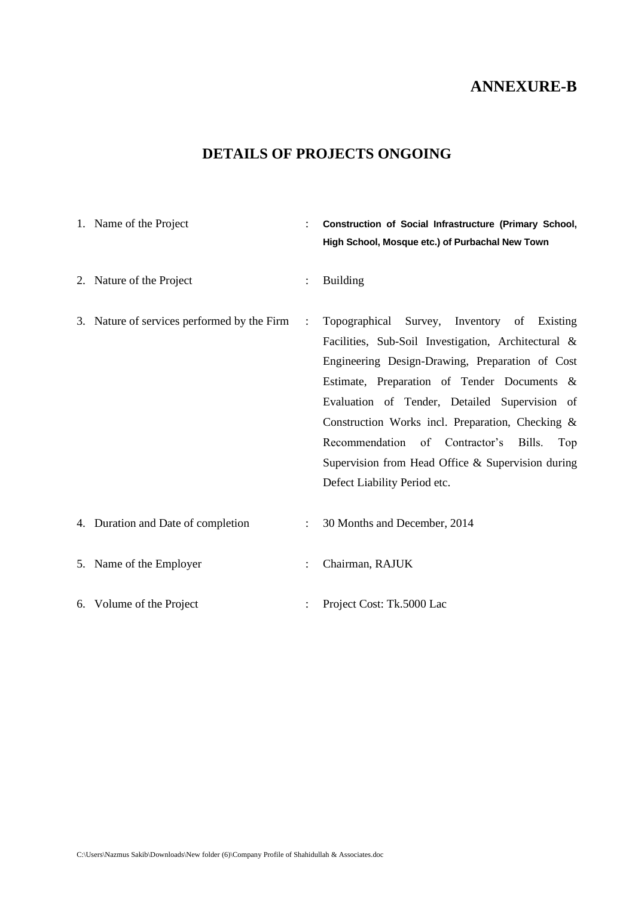| 1. Name of the Project                      |                | Construction of Social Infrastructure (Primary School,<br>High School, Mosque etc.) of Purbachal New Town                                                                                                                                                                                                                                                                                                                                              |
|---------------------------------------------|----------------|--------------------------------------------------------------------------------------------------------------------------------------------------------------------------------------------------------------------------------------------------------------------------------------------------------------------------------------------------------------------------------------------------------------------------------------------------------|
| 2. Nature of the Project                    | $\ddot{\cdot}$ | <b>Building</b>                                                                                                                                                                                                                                                                                                                                                                                                                                        |
| 3. Nature of services performed by the Firm | $\ddot{\cdot}$ | Topographical Survey, Inventory of<br>Existing<br>Facilities, Sub-Soil Investigation, Architectural &<br>Engineering Design-Drawing, Preparation of Cost<br>Estimate, Preparation of Tender Documents &<br>Evaluation of Tender, Detailed Supervision of<br>Construction Works incl. Preparation, Checking &<br>Recommendation of Contractor's<br>Bills.<br>Top<br>Supervision from Head Office $&$ Supervision during<br>Defect Liability Period etc. |
| 4. Duration and Date of completion          | $\ddot{\cdot}$ | 30 Months and December, 2014                                                                                                                                                                                                                                                                                                                                                                                                                           |
| 5. Name of the Employer                     | $\ddot{\cdot}$ | Chairman, RAJUK                                                                                                                                                                                                                                                                                                                                                                                                                                        |
| 6. Volume of the Project                    |                | Project Cost: Tk.5000 Lac                                                                                                                                                                                                                                                                                                                                                                                                                              |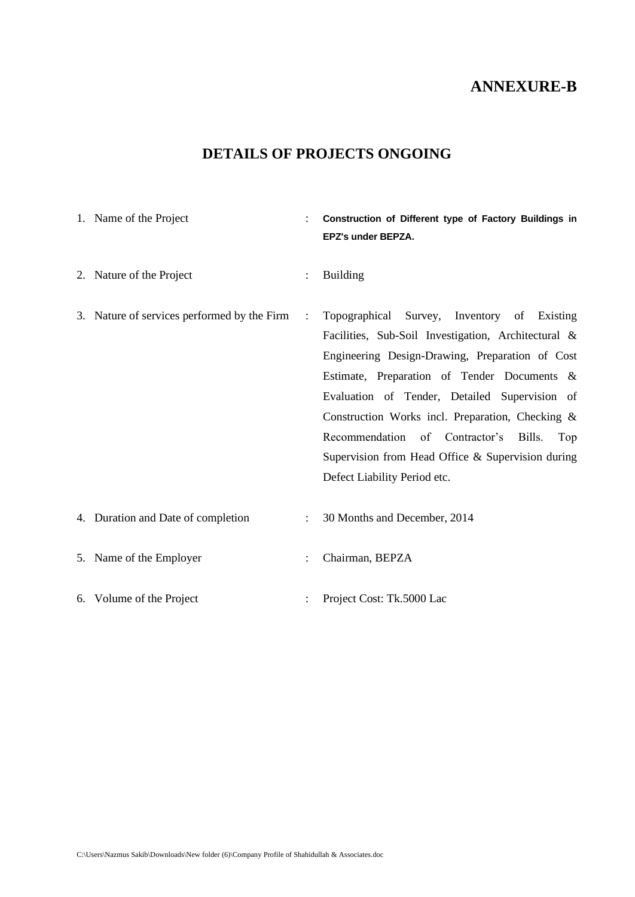| 1. Name of the Project                      | $\ddot{\cdot}$       | Construction of Different type of Factory Buildings in<br>EPZ's under BEPZA.                                                                                                                                                                                                                                                                                                                                                                         |
|---------------------------------------------|----------------------|------------------------------------------------------------------------------------------------------------------------------------------------------------------------------------------------------------------------------------------------------------------------------------------------------------------------------------------------------------------------------------------------------------------------------------------------------|
| 2. Nature of the Project                    | $\vdots$             | <b>Building</b>                                                                                                                                                                                                                                                                                                                                                                                                                                      |
| 3. Nature of services performed by the Firm | $\mathbf{r}$         | Topographical Survey, Inventory of Existing<br>Facilities, Sub-Soil Investigation, Architectural &<br>Engineering Design-Drawing, Preparation of Cost<br>Estimate, Preparation of Tender Documents &<br>Evaluation of Tender, Detailed Supervision of<br>Construction Works incl. Preparation, Checking &<br>Recommendation of Contractor's<br>Bills.<br>Top<br>Supervision from Head Office $\&$ Supervision during<br>Defect Liability Period etc. |
| 4. Duration and Date of completion          | $\ddot{\cdot}$       | 30 Months and December, 2014                                                                                                                                                                                                                                                                                                                                                                                                                         |
| 5. Name of the Employer                     | $\ddot{\phantom{a}}$ | Chairman, BEPZA                                                                                                                                                                                                                                                                                                                                                                                                                                      |
| 6. Volume of the Project                    |                      | Project Cost: Tk.5000 Lac                                                                                                                                                                                                                                                                                                                                                                                                                            |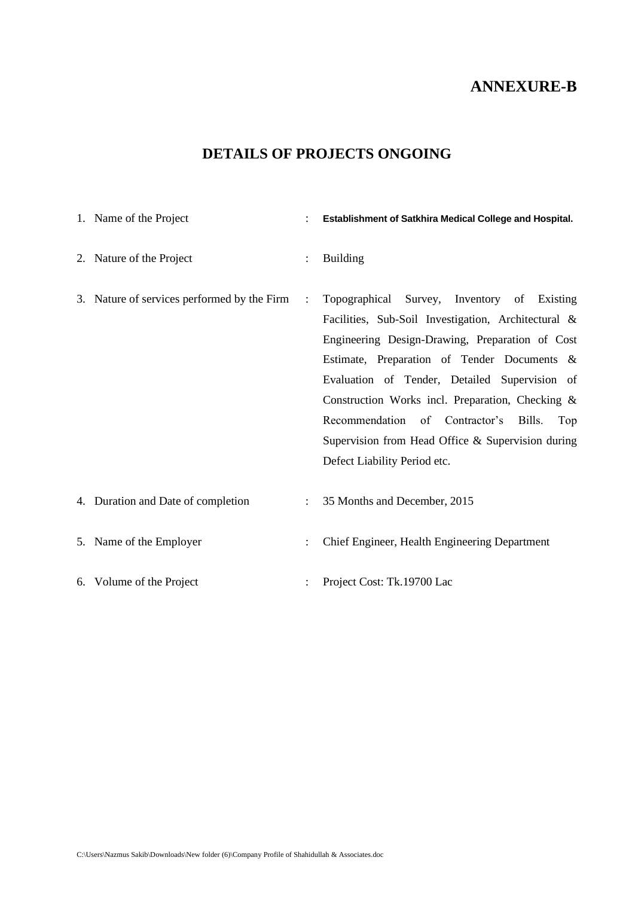| 1. Name of the Project                      |                      | Establishment of Satkhira Medical College and Hospital.                                                                                                                                                                                                                                                                                                                                                                                           |
|---------------------------------------------|----------------------|---------------------------------------------------------------------------------------------------------------------------------------------------------------------------------------------------------------------------------------------------------------------------------------------------------------------------------------------------------------------------------------------------------------------------------------------------|
| 2. Nature of the Project                    | $\ddot{\cdot}$       | <b>Building</b>                                                                                                                                                                                                                                                                                                                                                                                                                                   |
| 3. Nature of services performed by the Firm | $\ddot{\phantom{a}}$ | Topographical Survey, Inventory of Existing<br>Facilities, Sub-Soil Investigation, Architectural &<br>Engineering Design-Drawing, Preparation of Cost<br>Estimate, Preparation of Tender Documents &<br>Evaluation of Tender, Detailed Supervision of<br>Construction Works incl. Preparation, Checking &<br>Recommendation of Contractor's<br>Bills.<br>Top<br>Supervision from Head Office & Supervision during<br>Defect Liability Period etc. |
| 4. Duration and Date of completion          | $\ddot{\cdot}$       | 35 Months and December, 2015                                                                                                                                                                                                                                                                                                                                                                                                                      |
| 5. Name of the Employer                     | $\ddot{\cdot}$       | Chief Engineer, Health Engineering Department                                                                                                                                                                                                                                                                                                                                                                                                     |
| 6. Volume of the Project                    |                      | Project Cost: Tk.19700 Lac                                                                                                                                                                                                                                                                                                                                                                                                                        |